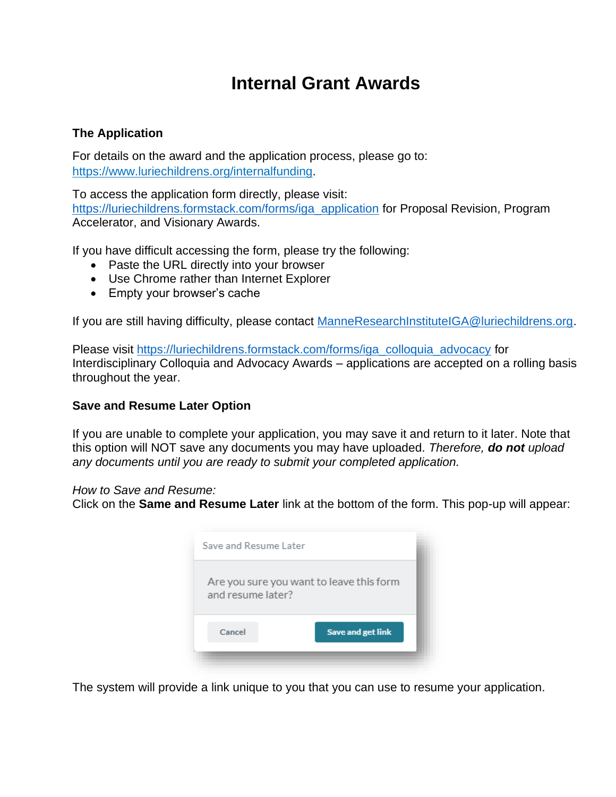# **Internal Grant Awards**

# **The Application**

For details on the award and the application process, please go to: https:/[/www.luriechildrens.org/internalfunding.](http://www.luriechildrens.org/internalfunding)

To access the application form directly, please visit: [https://luriechildrens.formstack.com/forms/iga\\_application](https://luriechildrens.formstack.com/forms/iga_application) for Proposal Revision, Program Accelerator, and Visionary Awards.

If you have difficult accessing the form, please try the following:

- Paste the URL directly into your browser
- Use Chrome rather than Internet Explorer
- Empty your browser's cache

If you are still having difficulty, please contact [ManneResearchInstituteIGA@luriechildrens.org.](mailto:ManneResearchInstituteIGA@luriechildrens.org)

Please visit [https://luriechildrens.formstack.com/forms/iga\\_colloquia\\_advocacy](https://luriechildrens.formstack.com/forms/iga_colloquia_advocacy) for Interdisciplinary Colloquia and Advocacy Awards – applications are accepted on a rolling basis throughout the year.

## **Save and Resume Later Option**

If you are unable to complete your application, you may save it and return to it later. Note that this option will NOT save any documents you may have uploaded. *Therefore, do not upload any documents until you are ready to submit your completed application.*

*How to Save and Resume:*

Click on the **Same and Resume Later** link at the bottom of the form. This pop-up will appear:

| Save and Resume Later |                                          |
|-----------------------|------------------------------------------|
| and resume later?     | Are you sure you want to leave this form |
| Cancel                | Save and get link                        |
|                       |                                          |

The system will provide a link unique to you that you can use to resume your application.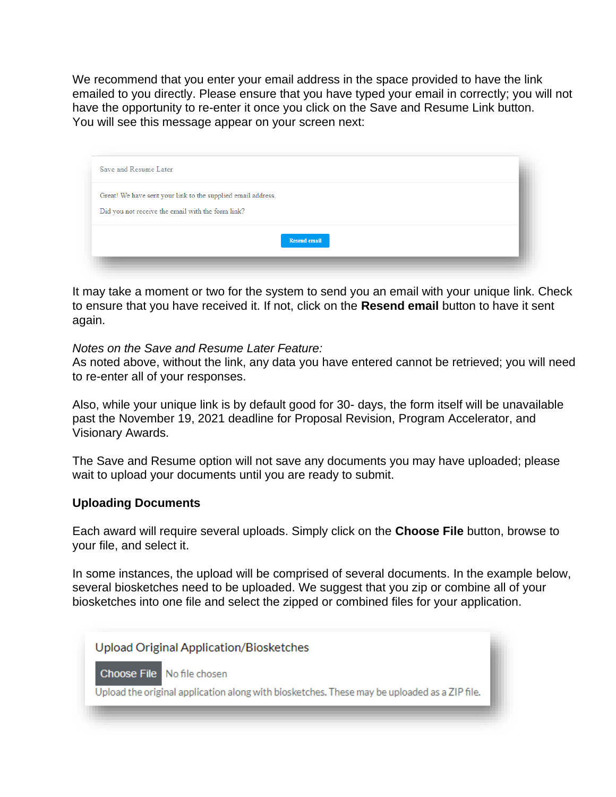We recommend that you enter your email address in the space provided to have the link emailed to you directly. Please ensure that you have typed your email in correctly; you will not have the opportunity to re-enter it once you click on the Save and Resume Link button. You will see this message appear on your screen next:

| Save and Resume Later                                                                                             |  |
|-------------------------------------------------------------------------------------------------------------------|--|
| Great! We have sent your link to the supplied email address.<br>Did you not receive the email with the form link? |  |
| <b>Resend email</b>                                                                                               |  |

It may take a moment or two for the system to send you an email with your unique link. Check to ensure that you have received it. If not, click on the **Resend email** button to have it sent again.

#### *Notes on the Save and Resume Later Feature:*

As noted above, without the link, any data you have entered cannot be retrieved; you will need to re-enter all of your responses.

Also, while your unique link is by default good for 30- days, the form itself will be unavailable past the November 19, 2021 deadline for Proposal Revision, Program Accelerator, and Visionary Awards.

The Save and Resume option will not save any documents you may have uploaded; please wait to upload your documents until you are ready to submit.

### **Uploading Documents**

Each award will require several uploads. Simply click on the **Choose File** button, browse to your file, and select it.

In some instances, the upload will be comprised of several documents. In the example below, several biosketches need to be uploaded. We suggest that you zip or combine all of your biosketches into one file and select the zipped or combined files for your application.